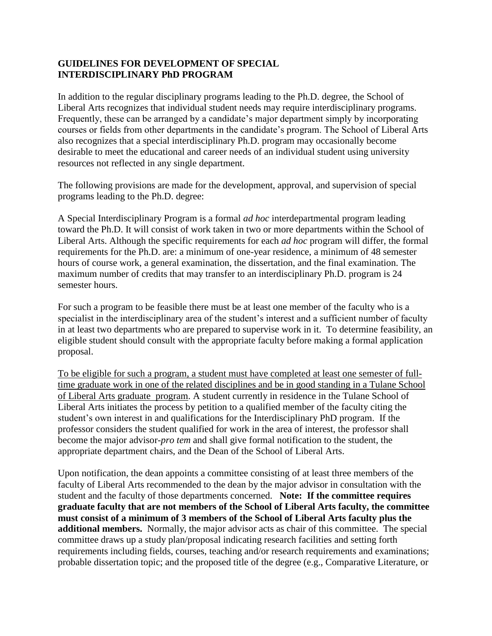## **GUIDELINES FOR DEVELOPMENT OF SPECIAL INTERDISCIPLINARY PhD PROGRAM**

In addition to the regular disciplinary programs leading to the Ph.D. degree, the School of Liberal Arts recognizes that individual student needs may require interdisciplinary programs. Frequently, these can be arranged by a candidate's major department simply by incorporating courses or fields from other departments in the candidate's program. The School of Liberal Arts also recognizes that a special interdisciplinary Ph.D. program may occasionally become desirable to meet the educational and career needs of an individual student using university resources not reflected in any single department.

The following provisions are made for the development, approval, and supervision of special programs leading to the Ph.D. degree:

A Special Interdisciplinary Program is a formal *ad hoc* interdepartmental program leading toward the Ph.D. It will consist of work taken in two or more departments within the School of Liberal Arts. Although the specific requirements for each *ad hoc* program will differ, the formal requirements for the Ph.D. are: a minimum of one-year residence, a minimum of 48 semester hours of course work, a general examination, the dissertation, and the final examination. The maximum number of credits that may transfer to an interdisciplinary Ph.D. program is 24 semester hours.

For such a program to be feasible there must be at least one member of the faculty who is a specialist in the interdisciplinary area of the student's interest and a sufficient number of faculty in at least two departments who are prepared to supervise work in it. To determine feasibility, an eligible student should consult with the appropriate faculty before making a formal application proposal.

To be eligible for such a program, a student must have completed at least one semester of fulltime graduate work in one of the related disciplines and be in good standing in a Tulane School of Liberal Arts graduate program. A student currently in residence in the Tulane School of Liberal Arts initiates the process by petition to a qualified member of the faculty citing the student's own interest in and qualifications for the Interdisciplinary PhD program. If the professor considers the student qualified for work in the area of interest, the professor shall become the major advisor-*pro tem* and shall give formal notification to the student, the appropriate department chairs, and the Dean of the School of Liberal Arts.

Upon notification, the dean appoints a committee consisting of at least three members of the faculty of Liberal Arts recommended to the dean by the major advisor in consultation with the student and the faculty of those departments concerned. **Note: If the committee requires graduate faculty that are not members of the School of Liberal Arts faculty, the committee must consist of a minimum of 3 members of the School of Liberal Arts faculty plus the additional members.** Normally, the major advisor acts as chair of this committee. The special committee draws up a study plan/proposal indicating research facilities and setting forth requirements including fields, courses, teaching and/or research requirements and examinations; probable dissertation topic; and the proposed title of the degree (e.g., Comparative Literature, or